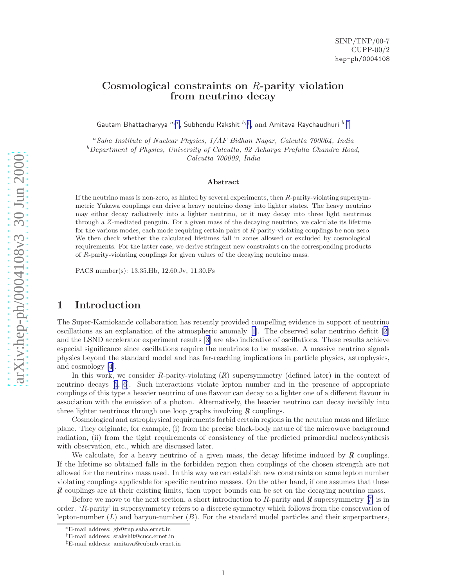## Cosmological constraints on R-parity violation from neutrino decay

Gautam Bhattacharyya  $a,*,$  Subhendu Rakshit  $b, \dagger,$  and Amitava Raychaudhuri  $b, \ddagger$ 

<sup>a</sup>Saha Institute of Nuclear Physics, 1/AF Bidhan Nagar, Calcutta 700064, India  $b$ Department of Physics, University of Calcutta, 92 Acharya Prafulla Chandra Road,

Calcutta 700009, India

#### Abstract

If the neutrino mass is non-zero, as hinted by several experiments, then R-parity-violating supersymmetric Yukawa couplings can drive a heavy neutrino decay into lighter states. The heavy neutrino may either decay radiatively into a lighter neutrino, or it may decay into three light neutrinos through a Z-mediated penguin. For a given mass of the decaying neutrino, we calculate its lifetime for the various modes, each mode requiring certain pairs of R-parity-violating couplings be non-zero. We then check whether the calculated lifetimes fall in zones allowed or excluded by cosmological requirements. For the latter case, we derive stringent new constraints on the corresponding products of R-parity-violating couplings for given values of the decaying neutrino mass.

PACS number(s): 13.35.Hb, 12.60.Jv, 11.30.Fs

## 1 Introduction

The Super-Kamiokande collaboration has recently provided compelling evidence in support of neutrino oscillations as an explanation of the atmospheric anomaly [\[1\]](#page-11-0). The observed solar neutrino deficit[[2\]](#page-11-0) and the LSND accelerator experiment results[[3\]](#page-11-0) are also indicative of oscillations. These results achieve especial significance since oscillations require the neutrinos to be massive. A massive neutrino signals physics beyond the standard model and has far-reaching implications in particle physics, astrophysics, and cosmology[[4](#page-11-0)].

In this work, we consider R-parity-violating  $(R)$  supersymmetry (defined later) in the context of neutrino decays[[5, 6](#page-11-0)]. Such interactions violate lepton number and in the presence of appropriate couplings of this type a heavier neutrino of one flavour can decay to a lighter one of a different flavour in association with the emission of a photon. Alternatively, the heavier neutrino can decay invisibly into three lighter neutrinos through one loop graphs involving  $\cancel{R}$  couplings.

Cosmological and astrophysical requirements forbid certain regions in the neutrino mass and lifetime plane. They originate, for example, (i) from the precise black-body nature of the microwave background radiation, (ii) from the tight requirements of consistency of the predicted primordial nucleosynthesis with observation, etc., which are discussed later.

We calculate, for a heavy neutrino of a given mass, the decay lifetime induced by  $\vec{R}$  couplings. If the lifetime so obtained falls in the forbidden region then couplings of the chosen strength are not allowed for the neutrino mass used. In this way we can establish new constraints on some lepton number violating couplings applicable for specific neutrino masses. On the other hand, if one assumes that these  $\vec{R}$  couplings are at their existing limits, then upper bounds can be set on the decaying neutrino mass.

Beforewe move to the next section, a short introduction to  $R$ -parity and  $R$  supersymmetry [[7\]](#page-11-0) is in order. ' R-parity' in supersymmetry refers to a discrete symmetry which follows from the conservation of lepton-number  $(L)$  and baryon-number  $(B)$ . For the standard model particles and their superpartners,

<sup>∗</sup>E-mail address: gb@tnp.saha.ernet.in

<sup>†</sup>E-mail address: srakshit@cucc.ernet.in

<sup>‡</sup>E-mail address: amitava@cubmb.ernet.in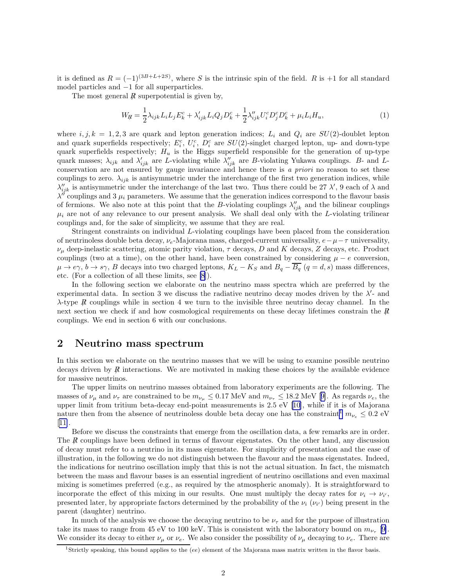it is defined as  $R = (-1)^{(3B+L+2S)}$ , where S is the intrinsic spin of the field. R is +1 for all standard model particles and −1 for all superparticles.

The most general  $\vec{R}$  superpotential is given by,

$$
W_{H} = \frac{1}{2} \lambda_{ijk} L_{i} L_{j} E_{k}^{c} + \lambda'_{ijk} L_{i} Q_{j} D_{k}^{c} + \frac{1}{2} \lambda''_{ijk} U_{i}^{c} D_{j}^{c} D_{k}^{c} + \mu_{i} L_{i} H_{u}, \qquad (1)
$$

where  $i, j, k = 1, 2, 3$  are quark and lepton generation indices;  $L_i$  and  $Q_i$  are  $SU(2)$ -doublet lepton and quark superfields respectively;  $E_i^c$ ,  $U_i^c$ ,  $D_i^c$  are  $SU(2)$ -singlet charged lepton, up- and down-type quark superfields respectively;  $H_u$  is the Higgs superfield responsible for the generation of up-type quark masses;  $\lambda_{ijk}$  and  $\lambda'_{ijk}$  are L-violating while  $\lambda''_{ijk}$  are B-violating Yukawa couplings. B- and Lconservation are not ensured by gauge invariance and hence there is a priori no reason to set these couplings to zero.  $\lambda_{ijk}$  is antisymmetric under the interchange of the first two generation indices, while  $\lambda''_{ijk}$  is antisymmetric under the interchange of the last two. Thus there could be 27  $\lambda'$ , 9 each of  $\lambda$  and  $\lambda''$  couplings and 3  $\mu_i$  parameters. We assume that the generation indices correspond to the flavour basis of fermions. We also note at this point that the B-violating couplings  $\lambda''_{ijk}$  and the bilinear couplings  $\mu_i$  are not of any relevance to our present analysis. We shall deal only with the L-violating trilinear couplings and, for the sake of simplicity, we assume that they are real.

Stringent constraints on individual L-violating couplings have been placed from the consideration of neutrinoless double beta decay,  $\nu_e$ -Majorana mass, charged-current universality,  $e-\mu-\tau$  universality,  $\nu_{\mu}$  deep-inelastic scattering, atomic parity violation,  $\tau$  decays, D and K decays, Z decays, etc. Product couplings (two at a time), on the other hand, have been constrained by considering  $\mu - e$  conversion,  $\mu \to e\gamma$ ,  $b \to s\gamma$ , B decays into two charged leptons,  $K_L - K_S$  and  $B_q - \overline{B_q}$   $(q = d, s)$  mass differences, etc. (For a collection of all these limits, see [\[8](#page-11-0)]).

In the following section we elaborate on the neutrino mass spectra which are preferred by the experimental data. In section 3 we discuss the radiative neutrino decay modes driven by the  $\lambda'$ - and  $\lambda$ -type R couplings while in section 4 we turn to the invisible three neutrino decay channel. In the next section we check if and how cosmological requirements on these decay lifetimes constrain the  $\vec{R}$ couplings. We end in section 6 with our conclusions.

### 2 Neutrino mass spectrum

In this section we elaborate on the neutrino masses that we will be using to examine possible neutrino decays driven by  $\vec{R}$  interactions. We are motivated in making these choices by the available evidence for massive neutrinos.

The upper limits on neutrino masses obtained from laboratory experiments are the following. The massesof  $\nu_{\mu}$  and  $\nu_{\tau}$  are constrained to be  $m_{\nu_{\mu}} \leq 0.17$  MeV and  $m_{\nu_{\tau}} \leq 18.2$  MeV [[9\]](#page-12-0). As regards  $\nu_{e}$ , the upper limit from tritium beta-decay end-point measurements is 2.5 eV [\[10](#page-12-0)], while if it is of Majorana nature then from the absence of neutrinoless double beta decay one has the constraint<sup>1</sup>  $m_{\nu_e} \leq 0.2$  eV [[11\]](#page-12-0).

Before we discuss the constraints that emerge from the oscillation data, a few remarks are in order. The  $R$  couplings have been defined in terms of flavour eigenstates. On the other hand, any discussion of decay must refer to a neutrino in its mass eigenstate. For simplicity of presentation and the ease of illustration, in the following we do not distinguish between the flavour and the mass eigenstates. Indeed, the indications for neutrino oscillation imply that this is not the actual situation. In fact, the mismatch between the mass and flavour bases is an essential ingredient of neutrino oscillations and even maximal mixing is sometimes preferred (e.g., as required by the atmospheric anomaly). It is straightforward to incorporate the effect of this mixing in our results. One must multiply the decay rates for  $\nu_i \to \nu_{i'}$ , presented later, by appropriate factors determined by the probability of the  $\nu_i$  ( $\nu_{i'}$ ) being present in the parent (daughter) neutrino.

In much of the analysis we choose the decaying neutrino to be  $\nu_{\tau}$  and for the purpose of illustration take its mass to range from 45 eV to 100 keV. This is consistent with the laboratory bound on  $m_{\nu_{\tau}}$  [[9\]](#page-12-0). We consider its decay to either  $\nu_\mu$  or  $\nu_e$ . We also consider the possibility of  $\nu_\mu$  decaying to  $\nu_e$ . There are

<sup>&</sup>lt;sup>1</sup>Strictly speaking, this bound applies to the (ee) element of the Majorana mass matrix written in the flavor basis.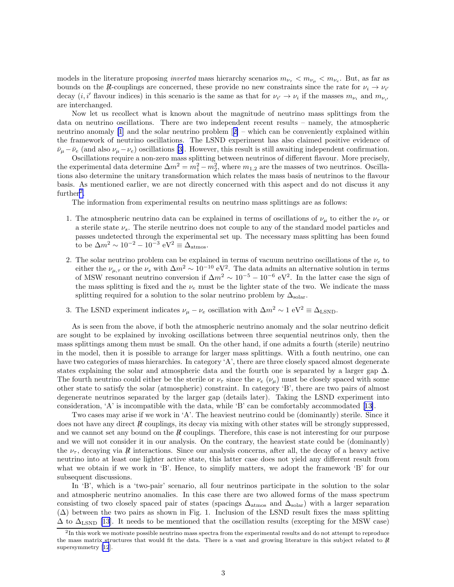models in the literature proposing *inverted* mass hierarchy scenarios  $m_{\nu_{\tau}} < m_{\nu_{\mu}} < m_{\nu_{e}}$ . But, as far as bounds on the R-couplings are concerned, these provide no new constraints since the rate for  $\nu_i \rightarrow \nu_i$ decay  $(i, i'$  flavour indices) in this scenario is the same as that for  $\nu_{i'} \to \nu_i$  if the masses  $m_{\nu_i}$  and  $m_{\nu_{i'}}$ are interchanged.

Now let us recollect what is known about the magnitude of neutrino mass splittings from the data on neutrino oscillations. There are two independent recent results – namely, the atmospheric neutrino anomaly [\[1](#page-11-0)] and the solar neutrino problem[[2\]](#page-11-0) – which can be conveniently explained within the framework of neutrino oscillations. The LSND experiment has also claimed positive evidence of  $\bar{\nu}_{\mu}-\bar{\nu}_{e}$ (and also  $\nu_{\mu}-\nu_{e}$ ) oscillations [[3\]](#page-11-0). However, this result is still awaiting independent confirmation.

Oscillations require a non-zero mass splitting between neutrinos of different flavour. More precisely, the experimental data determine  $\Delta m^2 = m_1^2 - m_2^2$ , where  $m_{1,2}$  are the masses of two neutrinos. Oscillations also determine the unitary transformation which relates the mass basis of neutrinos to the flavour basis. As mentioned earlier, we are not directly concerned with this aspect and do not discuss it any  $further<sup>2</sup>$ .

The information from experimental results on neutrino mass splittings are as follows:

- 1. The atmospheric neutrino data can be explained in terms of oscillations of  $\nu_{\mu}$  to either the  $\nu_{\tau}$  or a sterile state  $\nu_s$ . The sterile neutrino does not couple to any of the standard model particles and passes undetected through the experimental set up. The necessary mass splitting has been found to be  $\Delta m^2 \sim 10^{-2} - 10^{-3} \text{ eV}^2 \equiv \Delta_{\text{atmos}}.$
- 2. The solar neutrino problem can be explained in terms of vacuum neutrino oscillations of the  $\nu_e$  to either the  $\nu_{\mu,\tau}$  or the  $\nu_s$  with  $\Delta m^2 \sim 10^{-10} \text{ eV}^2$ . The data admits an alternative solution in terms of MSW resonant neutrino conversion if  $\Delta m^2 \sim 10^{-5} - 10^{-6}$  eV<sup>2</sup>. In the latter case the sign of the mass splitting is fixed and the  $\nu_e$  must be the lighter state of the two. We indicate the mass splitting required for a solution to the solar neutrino problem by  $\Delta_{\text{solar}}$ .
- 3. The LSND experiment indicates  $\nu_{\mu} \nu_{e}$  oscillation with  $\Delta m^{2} \sim 1 \text{ eV}^{2} \equiv \Delta_{\text{LSDD}}$ .

As is seen from the above, if both the atmospheric neutrino anomaly and the solar neutrino deficit are sought to be explained by invoking oscillations between three sequential neutrinos only, then the mass splittings among them must be small. On the other hand, if one admits a fourth (sterile) neutrino in the model, then it is possible to arrange for larger mass splittings. With a fouth neutrino, one can have two categories of mass hierarchies. In category 'A', there are three closely spaced almost degenerate states explaining the solar and atmospheric data and the fourth one is separated by a larger gap  $\Delta$ . The fourth neutrino could either be the sterile or  $\nu_{\tau}$  since the  $\nu_e$  ( $\nu_\mu$ ) must be closely spaced with some other state to satisfy the solar (atmospheric) constraint. In category 'B', there are two pairs of almost degenerate neutrinos separated by the larger gap (details later). Taking the LSND experiment into consideration, 'A' is incompatible with the data, while 'B' can be comfortably accommodated[[13\]](#page-12-0).

Two cases may arise if we work in 'A'. The heaviest neutrino could be (dominantly) sterile. Since it does not have any direct  $\bar{R}$  couplings, its decay via mixing with other states will be strongly suppressed, and we cannot set any bound on the  $R$  couplings. Therefore, this case is not interesting for our purpose and we will not consider it in our analysis. On the contrary, the heaviest state could be (dominantly) the  $\nu_{\tau}$ , decaying via R interactions. Since our analysis concerns, after all, the decay of a heavy active neutrino into at least one lighter active state, this latter case does not yield any different result from what we obtain if we work in 'B'. Hence, to simplify matters, we adopt the framework 'B' for our subsequent discussions.

In 'B', which is a 'two-pair' scenario, all four neutrinos participate in the solution to the solar and atmospheric neutrino anomalies. In this case there are two allowed forms of the mass spectrum consisting of two closely spaced pair of states (spacings  $\Delta_{\text{atmos}}$  and  $\Delta_{\text{solar}}$ ) with a larger separation  $(\Delta)$  between the two pairs as shown in Fig. 1. Inclusion of the LSND result fixes the mass splitting  $\Delta$  to  $\Delta_{\rm LSND}$  [\[13](#page-12-0)]. It needs to be mentioned that the oscillation results (excepting for the MSW case)

 $2$ In this work we motivate possible neutrino mass spectra from the experimental results and do not attempt to reproduce the mass matrix structures that would fit the data. There is a vast and growing literature in this subject related to  $R$ supersymmetry[[12](#page-12-0)].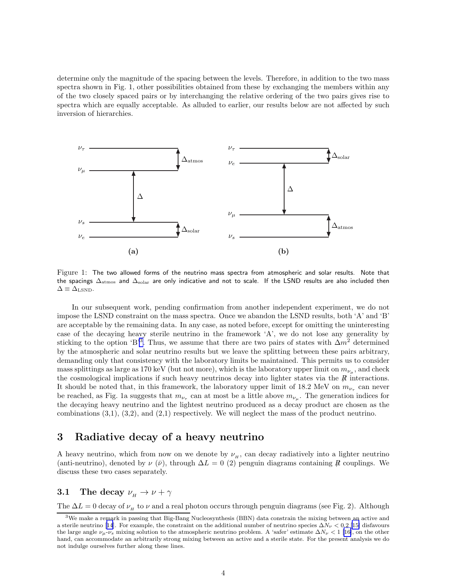determine only the magnitude of the spacing between the levels. Therefore, in addition to the two mass spectra shown in Fig. 1, other possibilities obtained from these by exchanging the members within any of the two closely spaced pairs or by interchanging the relative ordering of the two pairs gives rise to spectra which are equally acceptable. As alluded to earlier, our results below are not affected by such inversion of hierarchies.



Figure 1: The two allowed forms of the neutrino mass spectra from atmospheric and solar results. Note that the spacings ∆<sub>atmos</sub> and ∆<sub>solar</sub> are only indicative and not to scale. If the LSND results are also included then  $\Delta \equiv \Delta_{\rm LSND}$ .

In our subsequent work, pending confirmation from another independent experiment, we do not impose the LSND constraint on the mass spectra. Once we abandon the LSND results, both 'A' and 'B' are acceptable by the remaining data. In any case, as noted before, except for omitting the uninteresting case of the decaying heavy sterile neutrino in the framework 'A', we do not lose any generality by sticking to the option 'B<sup>3</sup>. Thus, we assume that there are two pairs of states with  $\Delta m^2$  determined by the atmospheric and solar neutrino results but we leave the splitting between these pairs arbitrary, demanding only that consistency with the laboratory limits be maintained. This permits us to consider mass splittings as large as 170 keV (but not more), which is the laboratory upper limit on  $m_{\nu_{\mu}}$ , and check the cosmological implications if such heavy neutrinos decay into lighter states via the  $R$  interactions. It should be noted that, in this framework, the laboratory upper limit of 18.2 MeV on  $m_{\nu_{\tau}}$  can never be reached, as Fig. 1a suggests that  $m_{\nu_{\tau}}$  can at most be a little above  $m_{\nu_{\mu}}$ . The generation indices for the decaying heavy neutrino and the lightest neutrino produced as a decay product are chosen as the combinations  $(3,1), (3,2),$  and  $(2,1)$  respectively. We will neglect the mass of the product neutrino.

### 3 Radiative decay of a heavy neutrino

A heavy neutrino, which from now on we denote by  $\nu_H$ , can decay radiatively into a lighter neutrino (anti-neutrino), denoted by  $\nu(\bar{\nu})$ , through  $\Delta L = 0$  (2) penguin diagrams containing  $\bar{R}$  couplings. We discuss these two cases separately.

## 3.1 The decay  $\nu_{H} \rightarrow \nu + \gamma$

The  $\Delta L = 0$  decay of  $\nu_H$  to  $\nu$  and a real photon occurs through penguin diagrams (see Fig. 2). Although

<sup>3</sup>We make a remark in passing that Big-Bang Nucleosynthesis (BBN) data constrain the mixing between an active and asterile neutrino [[14](#page-12-0)]. For example, the constraint on the additional number of neutrino species  $\Delta N_{\nu} < 0.2$  [\[15\]](#page-12-0) disfavours the large angle  $\nu_{\mu}$ - $\nu_{s}$  mixing solution to the atmospheric neutrino problem. A 'safer' estimate  $\Delta N_{\nu} < 1$  [\[16\]](#page-12-0), on the other hand, can accommodate an arbitrarily strong mixing between an active and a sterile state. For the present analysis we do not indulge ourselves further along these lines.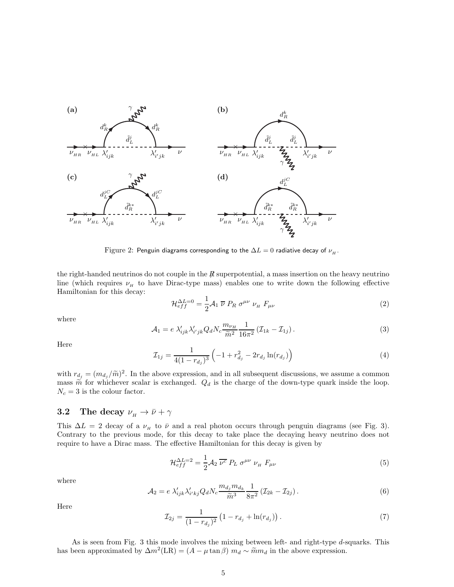<span id="page-4-0"></span>

Figure 2: Penguin diagrams corresponding to the  $\Delta L = 0$  radiative decay of  $\nu_H$ .

the right-handed neutrinos do not couple in the  $\mathbb R$  superpotential, a mass insertion on the heavy neutrino line (which requires  $\nu_H$  to have Dirac-type mass) enables one to write down the following effective Hamiltonian for this decay:

$$
\mathcal{H}_{eff}^{\Delta L=0} = \frac{1}{2} \mathcal{A}_1 \ \overline{\nu} \ P_R \ \sigma^{\mu\nu} \ \nu_{\mu} \ F_{\mu\nu} \tag{2}
$$

where

$$
\mathcal{A}_1 = e \; \lambda'_{ijk} \lambda'_{i'jk} Q_d N_c \frac{m_{\nu_H}}{\tilde{m}^2} \frac{1}{16\pi^2} \left( \mathcal{I}_{1k} - \mathcal{I}_{1j} \right). \tag{3}
$$

Here

$$
\mathcal{I}_{1j} = \frac{1}{4(1 - r_{d_j})^3} \left( -1 + r_{d_j}^2 - 2r_{d_j} \ln(r_{d_j}) \right) \tag{4}
$$

with  $r_{d_j} = (m_{d_j}/\tilde{m})^2$ . In the above expression, and in all subsequent discussions, we assume a common mass  $\tilde{m}$  for whichever scalar is exchanged.  $Q_d$  is the charge of the down-type quark inside the loop.  $N_c = 3$  is the colour factor.

### **3.2** The decay  $\nu_{H} \rightarrow \bar{\nu} + \gamma$

This  $\Delta L = 2$  decay of a  $\nu_H$  to  $\bar{\nu}$  and a real photon occurs through penguin diagrams (see Fig. 3). Contrary to the previous mode, for this decay to take place the decaying heavy neutrino does not require to have a Dirac mass. The effective Hamiltonian for this decay is given by

$$
\mathcal{H}_{eff}^{\Delta L=2} = \frac{1}{2} \mathcal{A}_2 \, \overline{\nu^c} \, P_L \, \sigma^{\mu\nu} \, \nu_{\mu} \, F_{\mu\nu} \tag{5}
$$

where

$$
\mathcal{A}_2 = e \lambda'_{ijk} \lambda'_{i'kj} Q_d N_c \frac{m_{d_j} m_{d_k}}{\tilde{m}^3} \frac{1}{8\pi^2} (\mathcal{I}_{2k} - \mathcal{I}_{2j}). \tag{6}
$$

Here

$$
\mathcal{I}_{2j} = \frac{1}{(1 - r_{d_j})^2} \left( 1 - r_{d_j} + \ln(r_{d_j}) \right). \tag{7}
$$

As is seen from Fig. 3 this mode involves the mixing between left- and right-type d-squarks. This has been approximated by  $\Delta m^2(LR) = (A - \mu \tan \beta) m_d \sim \tilde{m} m_d$  in the above expression.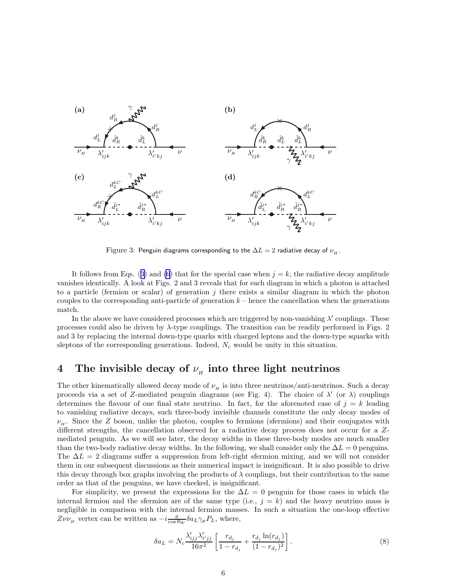

Figure 3: Penguin diagrams corresponding to the  $\Delta L = 2$  radiative decay of  $\nu_H$ .

Itfollows from Eqs. ([3\)](#page-4-0) and [\(6](#page-4-0)) that for the special case when  $j = k$ , the radiative decay amplitude vanishes identically. A look at Figs. 2 and 3 reveals that for each diagram in which a photon is attached to a particle (fermion or scalar) of generation  $j$  there exists a similar diagram in which the photon couples to the corresponding anti-particle of generation  $k$  – hence the cancellation when the generations match.

In the above we have considered processes which are triggered by non-vanishing  $\lambda'$  couplings. These processes could also be driven by  $\lambda$ -type couplings. The transition can be readily performed in Figs. 2 and 3 by replacing the internal down-type quarks with charged leptons and the down-type squarks with sleptons of the corresponding generations. Indeed,  $N_c$  would be unity in this situation.

# 4 The invisible decay of  $\nu_{_H}$  into three light neutrinos

The other kinematically allowed decay mode of  $\nu_H$  is into three neutrinos/anti-neutrinos. Such a decay proceeds via a set of Z-mediated penguin diagrams (see Fig. 4). The choice of  $\lambda'$  (or  $\lambda$ ) couplings determines the flavour of one final state neutrino. In fact, for the aforenoted case of  $j = k$  leading to vanishing radiative decays, such three-body invisible channels constitute the only decay modes of  $\nu_H$ . Since the Z boson, unlike the photon, couples to fermions (sfermions) and their conjugates with different strengths, the cancellation observed for a radiative decay process does not occur for a Zmediated penguin. As we will see later, the decay widths in these three-body modes are much smaller than the two-body radiative decay widths. In the following, we shall consider only the  $\Delta L = 0$  penguins. The  $\Delta L = 2$  diagrams suffer a suppression from left-right sfermion mixing, and we will not consider them in our subsequent discussions as their numerical impact is insignificant. It is also possible to drive this decay through box graphs involving the products of  $\lambda$  couplings, but their contribution to the same order as that of the penguins, we have checked, is insignificant.

For simplicity, we present the expressions for the  $\Delta L = 0$  penguin for those cases in which the internal fermion and the sfermion are of the same type (i.e.,  $j = k$ ) and the heavy neutrino mass is negligible in comparison with the internal fermion masses. In such a situation the one-loop effective  $Z\nu\nu_{\mu}$  vertex can be written as  $-i\frac{g}{\cos\theta w}\delta a_L\gamma_{\mu}P_L$ , where,

$$
\delta a_L = N_c \frac{\lambda'_{ijj} \lambda'_{i'jj}}{16\pi^2} \left[ \frac{r_{d_j}}{1 - r_{d_j}} + \frac{r_{d_j} \ln(r_{d_j})}{(1 - r_{d_j})^2} \right].
$$
\n(8)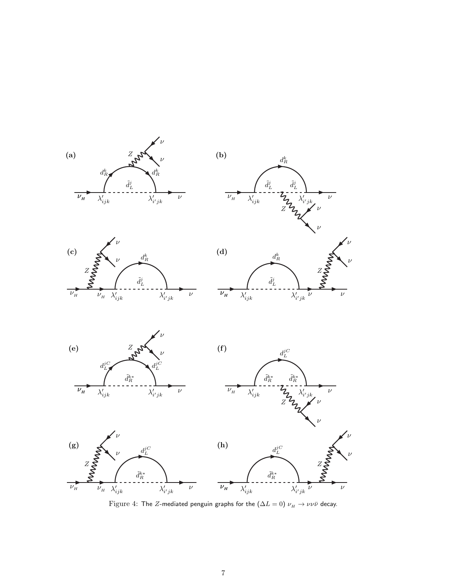

Figure 4: The Z-mediated penguin graphs for the  $(\Delta L = 0) \nu_H \rightarrow \nu \nu \bar{\nu}$  decay.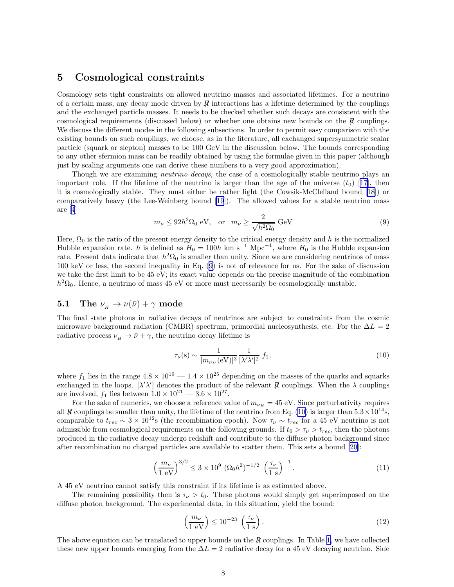### <span id="page-7-0"></span>5 Cosmological constraints

Cosmology sets tight constraints on allowed neutrino masses and associated lifetimes. For a neutrino of a certain mass, any decay mode driven by  $\bar{R}$  interactions has a lifetime determined by the couplings and the exchanged particle masses. It needs to be checked whether such decays are consistent with the cosmological requirements (discussed below) or whether one obtains new bounds on the  $\bar{R}$  couplings. We discuss the different modes in the following subsections. In order to permit easy comparison with the existing bounds on such couplings, we choose, as in the literature, all exchanged supersymmetric scalar particle (squark or slepton) masses to be 100 GeV in the discussion below. The bounds corresponding to any other sfermion mass can be readily obtained by using the formulae given in this paper (although just by scaling arguments one can derive these numbers to a very good approximation).

Though we are examining *neutrino decays*, the case of a cosmologically stable neutrino plays an importantrole. If the lifetime of the neutrino is larger than the age of the universe  $(t_0)$  [[17\]](#page-12-0), then it is cosmologically stable. They must either be rather light (the Cowsik-McClelland bound[[18\]](#page-12-0)) or comparatively heavy (the Lee-Weinberg bound [\[19](#page-12-0)]). The allowed values for a stable neutrino mass are [\[4](#page-11-0)]

$$
m_{\nu} \le 92h^2 \Omega_0 \text{ eV}, \quad \text{or} \quad m_{\nu} \ge \frac{2}{\sqrt{h^2 \Omega_0}} \text{ GeV}
$$
 (9)

Here,  $\Omega_0$  is the ratio of the present energy density to the critical energy density and h is the normalized Hubble expansion rate. h is defined as  $H_0 = 100h \text{ km s}^{-1} \text{ Mpc}^{-1}$ , where  $H_0$  is the Hubble expansion rate. Present data indicate that  $h^2\Omega_0$  is smaller than unity. Since we are considering neutrinos of mass 100 keV or less, the second inequality in Eq. (9) is not of relevance for us. For the sake of discussion we take the first limit to be 45 eV; its exact value depends on the precise magnitude of the combination  $h^2\Omega_0$ . Hence, a neutrino of mass 45 eV or more must necessarily be cosmologically unstable.

# **5.1** The  $\nu_{H} \rightarrow \nu(\bar{\nu}) + \gamma$  mode

The final state photons in radiative decays of neutrinos are subject to constraints from the cosmic microwave background radiation (CMBR) spectrum, primordial nucleosynthesis, etc. For the  $\Delta L = 2$ radiative process  $\nu_{H} \rightarrow \bar{\nu} + \gamma$ , the neutrino decay lifetime is

$$
\tau_{\nu}(\mathbf{s}) \sim \frac{1}{[m_{\nu_H}(\mathbf{eV})]^3} \frac{1}{[\lambda'\lambda']^2} f_1,\tag{10}
$$

where  $f_1$  lies in the range  $4.8 \times 10^{19} - 1.4 \times 10^{25}$  depending on the masses of the quarks and squarks exchanged in the loops.  $[\lambda' \lambda']$  denotes the product of the relevant R couplings. When the  $\lambda$  couplings are involved,  $f_1$  lies between  $1.0 \times 10^{21} - 3.6 \times 10^{27}$ .

For the sake of numerics, we choose a reference value of  $m_{\nu_H} = 45$  eV. Since perturbativity requires all R<sub>6</sub> couplings be smaller than unity, the lifetime of the neutrino from Eq. (10) is larger than  $5.3 \times 10^{14}$ s, comparable to  $t_{rec} \sim 3 \times 10^{12}$  (the recombination epoch). Now  $\tau_{\nu} \sim t_{rec}$  for a 45 eV neutrino is not admissible from cosmological requirements on the following grounds. If  $t_0 > \tau_{\nu} > t_{rec}$ , then the photons produced in the radiative decay undergo redshift and contribute to the diffuse photon background since after recombination no charged particles are available to scatter them. This sets a bound [\[20](#page-12-0)]:

$$
\left(\frac{m_{\nu}}{1 \text{ eV}}\right)^{3/2} \le 3 \times 10^9 \ (\Omega_0 h^2)^{-1/2} \ \left(\frac{\tau_{\nu}}{1 \text{ s}}\right)^{-1}.\tag{11}
$$

A 45 eV neutrino cannot satisfy this constraint if its lifetime is as estimated above.

The remaining possibility then is  $\tau_{\nu} > t_0$ . These photons would simply get superimposed on the diffuse photon background. The experimental data, in this situation, yield the bound:

$$
\left(\frac{m_{\nu}}{1 \text{ eV}}\right) \le 10^{-23} \left(\frac{\tau_{\nu}}{1 \text{ s}}\right). \tag{12}
$$

The above equation can be translated to upper bounds on the  $\vec{R}$  couplings. In Table [1,](#page-8-0) we have collected these new upper bounds emerging from the  $\Delta L = 2$  radiative decay for a 45 eV decaying neutrino. Side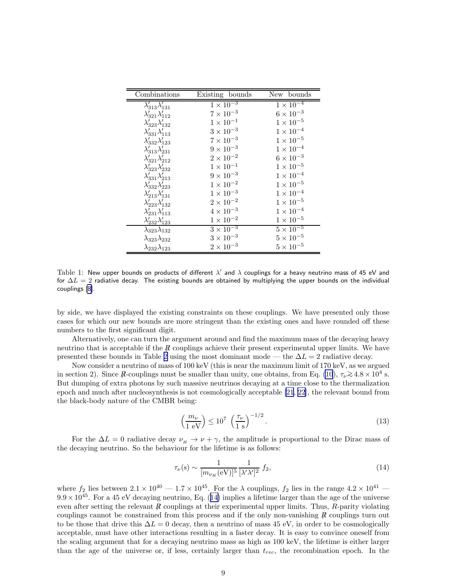<span id="page-8-0"></span>

| Combinations                   | Existing bounds    | New bounds                    |
|--------------------------------|--------------------|-------------------------------|
| $\lambda'_{313}\lambda'_{131}$ | $1 \times 10^{-3}$ | $1 \times 10^{-4}$            |
| $\lambda'_{321}\lambda'_{112}$ | $7\times10^{-3}$   | $6\times10^{-3}$              |
| $\lambda'_{323}\lambda'_{132}$ | $1\times10^{-1}$   | $1\times10^{-5}$              |
| $\lambda'_{331}\lambda'_{113}$ | $3\times10^{-3}$   | $1\times10^{-4}$              |
| $\lambda'_{332}\lambda'_{123}$ | $7\times10^{-3}$   | $1\times10^{-5}$              |
| $\lambda'_{313}\lambda'_{231}$ | $9\times10^{-3}$   | $1\times10^{-4}$              |
| $\lambda'_{321}\lambda'_{212}$ | $2\times10^{-2}$   | $6\times10^{-3}$              |
| $\lambda'_{323}\lambda'_{232}$ | $1\times10^{-1}$   | $1\times10^{-5}$              |
| $\lambda'_{331}\lambda'_{213}$ | $9\times10^{-3}$   | $1\times10^{-4}$              |
| $\lambda'_{332}\lambda'_{223}$ | $1 \times 10^{-2}$ | $1\times10^{-5}$              |
| $\lambda'_{213}\lambda'_{131}$ | $1 \times 10^{-3}$ | $1\times10^{-4}$              |
| $\lambda'_{223}\lambda'_{132}$ | $2\times10^{-2}$   | $1\times10^{-5}$              |
| $\lambda'_{231}\lambda'_{113}$ | $4 \times 10^{-3}$ | $1\times10^{-4}$              |
| $\lambda'_{232}\lambda'_{123}$ | $1 \times 10^{-2}$ | $1\times10^{-5}$              |
| $\lambda_{323}\lambda_{132}$   | $3 \times 10^{-3}$ | $5 \times \overline{10^{-5}}$ |
| $\lambda_{323}\lambda_{232}$   | $3\times10^{-3}$   | $5\times10^{-5}$              |
| $\lambda_{232}\lambda_{123}$   | $2\times10^{-3}$   | $5 \times 10^{-5}$            |

Table 1: New upper bounds on products of different  $\lambda'$  and  $\lambda$  couplings for a heavy neutrino mass of 45 eV and for  $\Delta L = 2$  radiative decay. The existing bounds are obtained by multiplying the upper bounds on the individual couplings [\[8\]](#page-11-0).

by side, we have displayed the existing constraints on these couplings. We have presented only those cases for which our new bounds are more stringent than the existing ones and have rounded off these numbers to the first significant digit.

Alternatively, one can turn the argument around and find the maximum mass of the decaying heavy neutrino that is acceptable if the R couplings achieve their present experimental upper limits. We have presented these bounds in Table [2](#page-9-0) using the most dominant mode — the  $\Delta L = 2$  radiative decay.

Now consider a neutrino of mass of 100 keV (this is near the maximum limit of 170 keV, as we argued in section 2). Since R-couplings must be smaller than unity, one obtains, from Eq. [\(10](#page-7-0)),  $\tau_{\nu} \gtrsim 4.8 \times 10^4$  s. But dumping of extra photons by such massive neutrinos decaying at a time close to the thermalization epoch and much after nucleosynthesis is not cosmologically acceptable [\[21](#page-12-0), [22\]](#page-12-0), the relevant bound from the black-body nature of the CMBR being:

$$
\left(\frac{m_{\nu}}{1 \text{ eV}}\right) \le 10^7 \left(\frac{\tau_{\nu}}{1 \text{ s}}\right)^{-1/2}.
$$
\n(13)

For the  $\Delta L = 0$  radiative decay  $\nu_{H} \rightarrow \nu + \gamma$ , the amplitude is proportional to the Dirac mass of the decaying neutrino. So the behaviour for the lifetime is as follows:

$$
\tau_{\nu}(\mathbf{s}) \sim \frac{1}{[m_{\nu_H}(\mathbf{e} \mathbf{V})]^5} \frac{1}{[\lambda' \lambda']^2} f_2,\tag{14}
$$

where  $f_2$  lies between  $2.1 \times 10^{40} - 1.7 \times 10^{45}$ . For the  $\lambda$  couplings,  $f_2$  lies in the range  $4.2 \times 10^{41}$  $9.9 \times 10^{45}$ . For a 45 eV decaying neutrino, Eq. (14) implies a lifetime larger than the age of the universe even after setting the relevant R couplings at their experimental upper limits. Thus, R-parity violating couplings cannot be constrained from this process and if the only non-vanishing  $\vec{R}$  couplings turn out to be those that drive this  $\Delta L = 0$  decay, then a neutrino of mass 45 eV, in order to be cosmologically acceptable, must have other interactions resulting in a faster decay. It is easy to convince oneself from the scaling argument that for a decaying neutrino mass as high as 100 keV, the lifetime is either larger than the age of the universe or, if less, certainly larger than  $t_{rec}$ , the recombination epoch. In the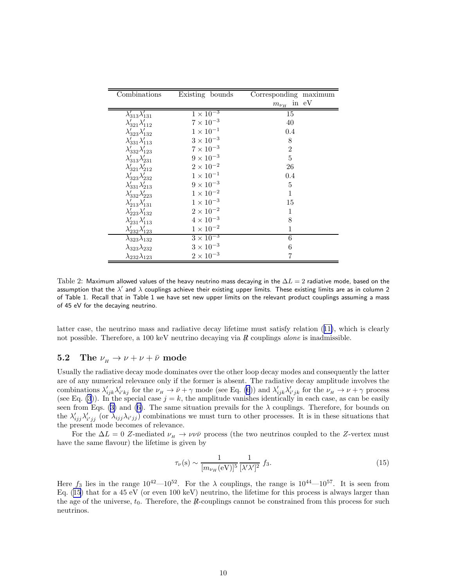<span id="page-9-0"></span>

| Combinations                   | Existing bounds    | Corresponding maximum    |
|--------------------------------|--------------------|--------------------------|
|                                |                    | in eV<br>$m_{\nu_{H\_}}$ |
| $\lambda'_{313}\lambda'_{131}$ | $1 \times 10^{-3}$ | 15                       |
| $\lambda'_{321}\lambda'_{112}$ | $7 \times 10^{-3}$ | 40                       |
| $\lambda'_{323}\lambda'_{132}$ | $1 \times 10^{-1}$ | $0.4\,$                  |
| $\lambda'_{331}\lambda'_{113}$ | $3\times10^{-3}$   | 8                        |
| $\lambda'_{332}\lambda'_{123}$ | $7 \times 10^{-3}$ | $\overline{2}$           |
| $\lambda'_{313}\lambda'_{231}$ | $9 \times 10^{-3}$ | 5                        |
| $\lambda'_{321}\lambda'_{212}$ | $2 \times 10^{-2}$ | 26                       |
| $\lambda'_{323}\lambda'_{232}$ | $1 \times 10^{-1}$ | 0.4                      |
| $\lambda'_{331}\lambda'_{213}$ | $9 \times 10^{-3}$ | 5                        |
| $\lambda'_{332}\lambda'_{223}$ | $1\times10^{-2}$   | 1                        |
| $\lambda'_{213}\lambda'_{131}$ | $1\times10^{-3}$   | 15                       |
| $\lambda'_{223}\lambda'_{132}$ | $2 \times 10^{-2}$ | 1                        |
| $\lambda'_{231}\lambda'_{113}$ | $4 \times 10^{-3}$ | 8                        |
| $\lambda'_{232}\lambda'_{123}$ | $1 \times 10^{-2}$ | $\mathbf{1}$             |
| $\lambda_{323}\lambda_{132}$   | $3 \times 10^{-3}$ | 6                        |
| $\lambda_{323}\lambda_{232}$   | $3 \times 10^{-3}$ | 6                        |
| $\lambda_{232}\lambda_{123}$   | $2\times10^{-3}$   | 7                        |

Table 2: Maximum allowed values of the heavy neutrino mass decaying in the  $\Delta L = 2$  radiative mode, based on the assumption that the  $\lambda'$  and  $\lambda$  couplings achieve their existing upper limits. These existing limits are as in column 2 of Table 1. Recall that in Table 1 we have set new upper limits on the relevant product couplings assuming a mass of 45 eV for the decaying neutrino.

latter case, the neutrino mass and radiative decay lifetime must satisfy relation([11\)](#page-7-0), which is clearly not possible. Therefore, a 100 keV neutrino decaying via  $R$  couplings *alone* is inadmissible.

### **5.2** The  $\nu_{\mu} \rightarrow \nu + \nu + \bar{\nu}$  mode

Usually the radiative decay mode dominates over the other loop decay modes and consequently the latter are of any numerical relevance only if the former is absent. The radiative decay amplitude involves the combinations  $\lambda'_{ijk}\lambda'_{i'kj}$  for the  $\nu_{\mu} \to \bar{\nu} + \gamma$  mode (see Eq. [\(6](#page-4-0))) and  $\lambda'_{ijk}\lambda'_{i'jk}$  for the  $\nu_{\mu} \to \nu + \gamma$  process (see Eq. [\(3](#page-4-0))). In the special case  $j = k$ , the amplitude vanishes identically in each case, as can be easily seenfrom Eqs. ([3\)](#page-4-0) and ([6\)](#page-4-0). The same situation prevails for the  $\lambda$  couplings. Therefore, for bounds on the  $\lambda'_{ijj}\lambda'_{i'jj}$  (or  $\lambda_{ijj}\lambda_{i'jj}$ ) combinations we must turn to other processes. It is in these situations that the present mode becomes of relevance.

For the  $\Delta L = 0$  Z-mediated  $\nu_{\rm H} \rightarrow \nu \nu \bar{\nu}$  process (the two neutrinos coupled to the Z-vertex must have the same flavour) the lifetime is given by

$$
\tau_{\nu}(\mathbf{s}) \sim \frac{1}{[m_{\nu_H}(\mathbf{eV})]^5} \frac{1}{[\lambda'\lambda']^2} f_3.
$$
\n(15)

Here  $f_3$  lies in the range  $10^{42} - 10^{52}$ . For the  $\lambda$  couplings, the range is  $10^{44} - 10^{57}$ . It is seen from Eq.  $(15)$  that for a 45 eV (or even 100 keV) neutrino, the lifetime for this process is always larger than the age of the universe,  $t_0$ . Therefore, the  $R$ -couplings cannot be constrained from this process for such neutrinos.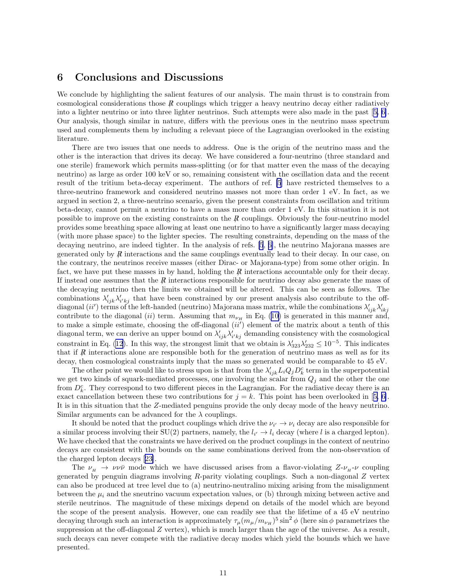### 6 Conclusions and Discussions

We conclude by highlighting the salient features of our analysis. The main thrust is to constrain from cosmological considerations those  $\vec{R}$  couplings which trigger a heavy neutrino decay either radiatively into a lighter neutrino or into three lighter neutrinos. Such attempts were also made in the past[[5, 6\]](#page-11-0). Our analysis, though similar in nature, differs with the previous ones in the neutrino mass spectrum used and complements them by including a relevant piece of the Lagrangian overlooked in the existing literature.

There are two issues that one needs to address. One is the origin of the neutrino mass and the other is the interaction that drives its decay. We have considered a four-neutrino (three standard and one sterile) framework which permits mass-splitting (or for that matter even the mass of the decaying neutrino) as large as order 100 keV or so, remaining consistent with the oscillation data and the recent result of the tritium beta-decay experiment. The authors of ref. [\[5](#page-11-0)] have restricted themselves to a three-neutrino framework and considered neutrino masses not more than order 1 eV. In fact, as we argued in section 2, a three-neutrino scenario, given the present constraints from oscillation and tritium beta-decay, cannot permit a neutrino to have a mass more than order 1 eV. In this situation it is not possible to improve on the existing constraints on the  $\vec{R}$  couplings. Obviously the four-neutrino model provides some breathing space allowing at least one neutrino to have a significantly larger mass decaying (with more phase space) to the lighter species. The resulting constraints, depending on the mass of the decaying neutrino, are indeed tighter. In the analysis of refs. [\[5](#page-11-0), [6\]](#page-11-0), the neutrino Majorana masses are generated only by R interactions and the same couplings eventually lead to their decay. In our case, on the contrary, the neutrinos receive masses (either Dirac- or Majorana-type) from some other origin. In fact, we have put these masses in by hand, holding the  $\vec{R}$  interactions accountable only for their decay. If instead one assumes that the  $\vec{R}$  interactions responsible for neutrino decay also generate the mass of the decaying neutrino then the limits we obtained will be altered. This can be seen as follows. The combinations  $\lambda'_{ijk}\lambda'_{i'kj}$  that have been constrained by our present analysis also contribute to the offdiagonal (ii') terms of the left-handed (neutrino) Majorana mass matrix, while the combinations  $\lambda'_{ijk}\lambda'_{ikj}$ contributeto the diagonal (ii) term. Assuming that  $m_{\nu_H}$  in Eq. ([10\)](#page-7-0) is generated in this manner and, to make a simple estimate, choosing the off-diagonal  $(ii')$  element of the matrix about a tenth of this diagonal term, we can derive an upper bound on  $\lambda'_{ijk}\lambda'_{i'kj}$  demanding consistency with the cosmological constraint in Eq. [\(12](#page-7-0)). In this way, the strongest limit that we obtain is  $\lambda'_{323}\lambda'_{232} \leq 10^{-5}$ . This indicates that if  $\vec{R}$  interactions alone are responsible both for the generation of neutrino mass as well as for its decay, then cosmological constraints imply that the mass so generated would be comparable to 45 eV.

The other point we would like to stress upon is that from the  $\lambda'_{ijk} L_i Q_j D_k^c$  term in the superpotential we get two kinds of squark-mediated processes, one involving the scalar from  $Q_i$  and the other the one from  $D_k^c$ . They correspond to two different pieces in the Lagrangian. For the radiative decay there is an exactcancellation between these two contributions for  $j = k$ . This point has been overlooked in [[5, 6\]](#page-11-0). It is in this situation that the Z-mediated penguins provide the only decay mode of the heavy neutrino. Similar arguments can be advanced for the  $\lambda$  couplings.

It should be noted that the product couplings which drive the  $\nu_{i'} \to \nu_i$  decay are also responsible for a similar process involving their SU(2) partners, namely, the  $l_{i'} \to l_i$  decay (where l is a charged lepton). We have checked that the constraints we have derived on the product couplings in the context of neutrino decays are consistent with the bounds on the same combinations derived from the non-observation of the charged lepton decays[[23\]](#page-12-0).

The  $\nu_H \rightarrow \nu \nu \bar{\nu}$  mode which we have discussed arises from a flavor-violating  $Z-\nu_H-\nu$  coupling generated by penguin diagrams involving  $R$ -parity violating couplings. Such a non-diagonal  $Z$  vertex can also be produced at tree level due to (a) neutrino-neutralino mixing arising from the misalignment between the  $\mu_i$  and the sneutrino vacuum expectation values, or (b) through mixing between active and sterile neutrinos. The magnitude of these mixings depend on details of the model which are beyond the scope of the present analysis. However, one can readily see that the lifetime of a 45 eV neutrino decaying through such an interaction is approximately  $\tau_\mu (m_\mu/m_{\nu_H})^5 \sin^2 \phi$  (here  $\sin \phi$  parametrizes the suppression at the off-diagonal  $Z$  vertex), which is much larger than the age of the universe. As a result, such decays can never compete with the radiative decay modes which yield the bounds which we have presented.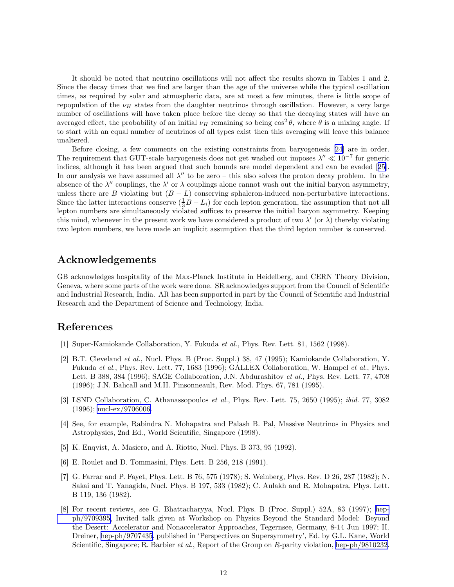<span id="page-11-0"></span>It should be noted that neutrino oscillations will not affect the results shown in Tables 1 and 2. Since the decay times that we find are larger than the age of the universe while the typical oscillation times, as required by solar and atmospheric data, are at most a few minutes, there is little scope of repopulation of the  $\nu_H$  states from the daughter neutrinos through oscillation. However, a very large number of oscillations will have taken place before the decay so that the decaying states will have an averaged effect, the probability of an initial  $\nu_H$  remaining so being  $\cos^2\theta$ , where  $\theta$  is a mixing angle. If to start with an equal number of neutrinos of all types exist then this averaging will leave this balance unaltered.

Before closing, a few comments on the existing constraints from baryogenesis [\[24](#page-12-0)] are in order. The requirement that GUT-scale baryogenesis does not get washed out imposes  $\lambda'' \ll 10^{-7}$  for generic indices, although it has been argued that such bounds are model dependent and can be evaded[[25\]](#page-12-0). In our analysis we have assumed all  $\lambda''$  to be zero – this also solves the proton decay problem. In the absence of the  $\lambda''$  couplings, the  $\lambda'$  or  $\lambda$  couplings alone cannot wash out the initial baryon asymmetry, unless there are B violating but  $(B - L)$  conserving sphaleron-induced non-perturbative interactions. Since the latter interactions conserve  $(\frac{1}{3}B - L_i)$  for each lepton generation, the assumption that not all lepton numbers are simultaneously violated suffices to preserve the initial baryon asymmetry. Keeping this mind, whenever in the present work we have considered a product of two  $\lambda'$  (or  $\lambda$ ) thereby violating two lepton numbers, we have made an implicit assumption that the third lepton number is conserved.

### Acknowledgements

GB acknowledges hospitality of the Max-Planck Institute in Heidelberg, and CERN Theory Division, Geneva, where some parts of the work were done. SR acknowledges support from the Council of Scientific and Industrial Research, India. AR has been supported in part by the Council of Scientific and Industrial Research and the Department of Science and Technology, India.

### References

- [1] Super-Kamiokande Collaboration, Y. Fukuda et al., Phys. Rev. Lett. 81, 1562 (1998).
- [2] B.T. Cleveland et al., Nucl. Phys. B (Proc. Suppl.) 38, 47 (1995); Kamiokande Collaboration, Y. Fukuda et al., Phys. Rev. Lett. 77, 1683 (1996); GALLEX Collaboration, W. Hampel et al., Phys. Lett. B 388, 384 (1996); SAGE Collaboration, J.N. Abdurashitov et al., Phys. Rev. Lett. 77, 4708 (1996); J.N. Bahcall and M.H. Pinsonneault, Rev. Mod. Phys. 67, 781 (1995).
- [3] LSND Collaboration, C. Athanassopoulos et al., Phys. Rev. Lett. 75, 2650 (1995); ibid. 77, 3082 (1996); [nucl-ex/9706006.](http://arxiv.org/abs/nucl-ex/9706006)
- [4] See, for example, Rabindra N. Mohapatra and Palash B. Pal, Massive Neutrinos in Physics and Astrophysics, 2nd Ed., World Scientific, Singapore (1998).
- [5] K. Enqvist, A. Masiero, and A. Riotto, Nucl. Phys. B 373, 95 (1992).
- [6] E. Roulet and D. Tommasini, Phys. Lett. B 256, 218 (1991).
- [7] G. Farrar and P. Fayet, Phys. Lett. B 76, 575 (1978); S. Weinberg, Phys. Rev. D 26, 287 (1982); N. Sakai and T. Yanagida, Nucl. Phys. B 197, 533 (1982); C. Aulakh and R. Mohapatra, Phys. Lett. B 119, 136 (1982).
- [8] For recent reviews, see G. Bhattacharyya, Nucl. Phys. B (Proc. Suppl.) 52A, 83 (1997); [hep](http://arxiv.org/abs/hep-ph/9709395)[ph/9709395,](http://arxiv.org/abs/hep-ph/9709395) Invited talk given at Workshop on Physics Beyond the Standard Model: Beyond the Desert: Accelerator and Nonaccelerator Approaches, Tegernsee, Germany, 8-14 Jun 1997; H. Dreiner, [hep-ph/9707435](http://arxiv.org/abs/hep-ph/9707435), published in 'Perspectives on Supersymmetry', Ed. by G.L. Kane, World Scientific, Singapore; R. Barbier *et al.*, Report of the Group on R-parity violation, [hep-ph/9810232.](http://arxiv.org/abs/hep-ph/9810232)